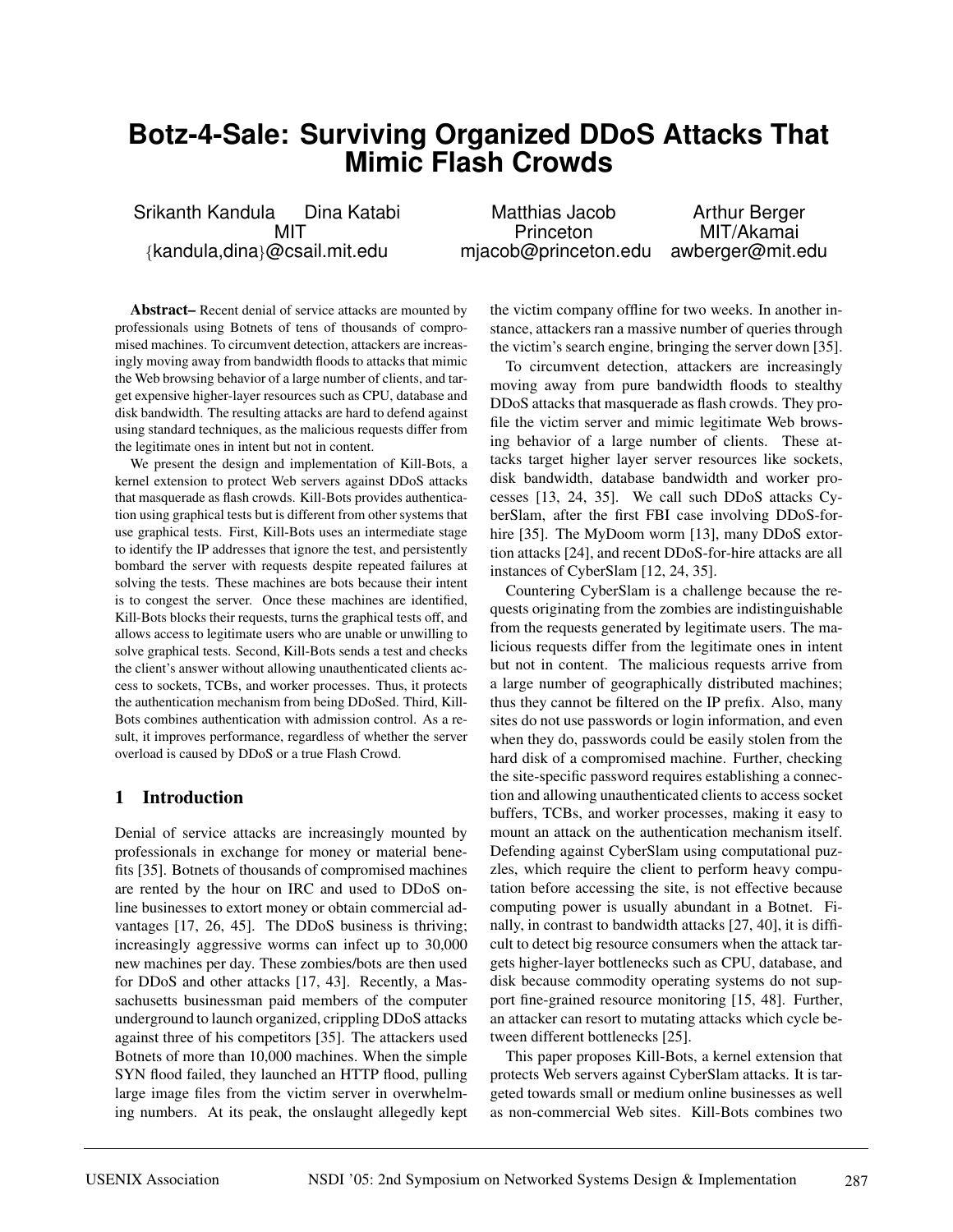# **Botz-4-Sale: Surviving Organized DDoS Attacks That Mimic Flash Crowds**

Srikanth Kandula Dina Katabi **Matthias Jacob** Arthur Berger {kandula,dina}@csail.mit.edu mjacob@princeton.edu awberger@mit.edu

MIT Princeton MIT/Akamai

**Abstract–** Recent denial of service attacks are mounted by professionals using Botnets of tens of thousands of compromised machines. To circumvent detection, attackers are increasingly moving away from bandwidth floods to attacks that mimic the Web browsing behavior of a large number of clients, and target expensive higher-layer resources such as CPU, database and disk bandwidth. The resulting attacks are hard to defend against using standard techniques, as the malicious requests differ from the legitimate ones in intent but not in content.

We present the design and implementation of Kill-Bots, a kernel extension to protect Web servers against DDoS attacks that masquerade as flash crowds. Kill-Bots provides authentication using graphical tests but is different from other systems that use graphical tests. First, Kill-Bots uses an intermediate stage to identify the IP addresses that ignore the test, and persistently bombard the server with requests despite repeated failures at solving the tests. These machines are bots because their intent is to congest the server. Once these machines are identified, Kill-Bots blocks their requests, turns the graphical tests off, and allows access to legitimate users who are unable or unwilling to solve graphical tests. Second, Kill-Bots sends a test and checks the client's answer without allowing unauthenticated clients access to sockets, TCBs, and worker processes. Thus, it protects the authentication mechanism from being DDoSed. Third, Kill-Bots combines authentication with admission control. As a result, it improves performance, regardless of whether the server overload is caused by DDoS or a true Flash Crowd.

# **1 Introduction**

Denial of service attacks are increasingly mounted by professionals in exchange for money or material benefits [35]. Botnets of thousands of compromised machines are rented by the hour on IRC and used to DDoS online businesses to extort money or obtain commercial advantages [17, 26, 45]. The DDoS business is thriving; increasingly aggressive worms can infect up to 30,000 new machines per day. These zombies/bots are then used for DDoS and other attacks [17, 43]. Recently, a Massachusetts businessman paid members of the computer underground to launch organized, crippling DDoS attacks against three of his competitors [35]. The attackers used Botnets of more than 10,000 machines. When the simple SYN flood failed, they launched an HTTP flood, pulling large image files from the victim server in overwhelming numbers. At its peak, the onslaught allegedly kept the victim company offline for two weeks. In another instance, attackers ran a massive number of queries through the victim's search engine, bringing the server down [35].

To circumvent detection, attackers are increasingly moving away from pure bandwidth floods to stealthy DDoS attacks that masquerade as flash crowds. They profile the victim server and mimic legitimate Web browsing behavior of a large number of clients. These attacks target higher layer server resources like sockets, disk bandwidth, database bandwidth and worker processes [13, 24, 35]. We call such DDoS attacks CyberSlam, after the first FBI case involving DDoS-forhire [35]. The MyDoom worm [13], many DDoS extortion attacks [24], and recent DDoS-for-hire attacks are all instances of CyberSlam [12, 24, 35].

Countering CyberSlam is a challenge because the requests originating from the zombies are indistinguishable from the requests generated by legitimate users. The malicious requests differ from the legitimate ones in intent but not in content. The malicious requests arrive from a large number of geographically distributed machines; thus they cannot be filtered on the IP prefix. Also, many sites do not use passwords or login information, and even when they do, passwords could be easily stolen from the hard disk of a compromised machine. Further, checking the site-specific password requires establishing a connection and allowing unauthenticated clients to access socket buffers, TCBs, and worker processes, making it easy to mount an attack on the authentication mechanism itself. Defending against CyberSlam using computational puzzles, which require the client to perform heavy computation before accessing the site, is not effective because computing power is usually abundant in a Botnet. Finally, in contrast to bandwidth attacks [27, 40], it is difficult to detect big resource consumers when the attack targets higher-layer bottlenecks such as CPU, database, and disk because commodity operating systems do not support fine-grained resource monitoring [15, 48]. Further, an attacker can resort to mutating attacks which cycle between different bottlenecks [25].

This paper proposes Kill-Bots, a kernel extension that protects Web servers against CyberSlam attacks. It is targeted towards small or medium online businesses as well as non-commercial Web sites. Kill-Bots combines two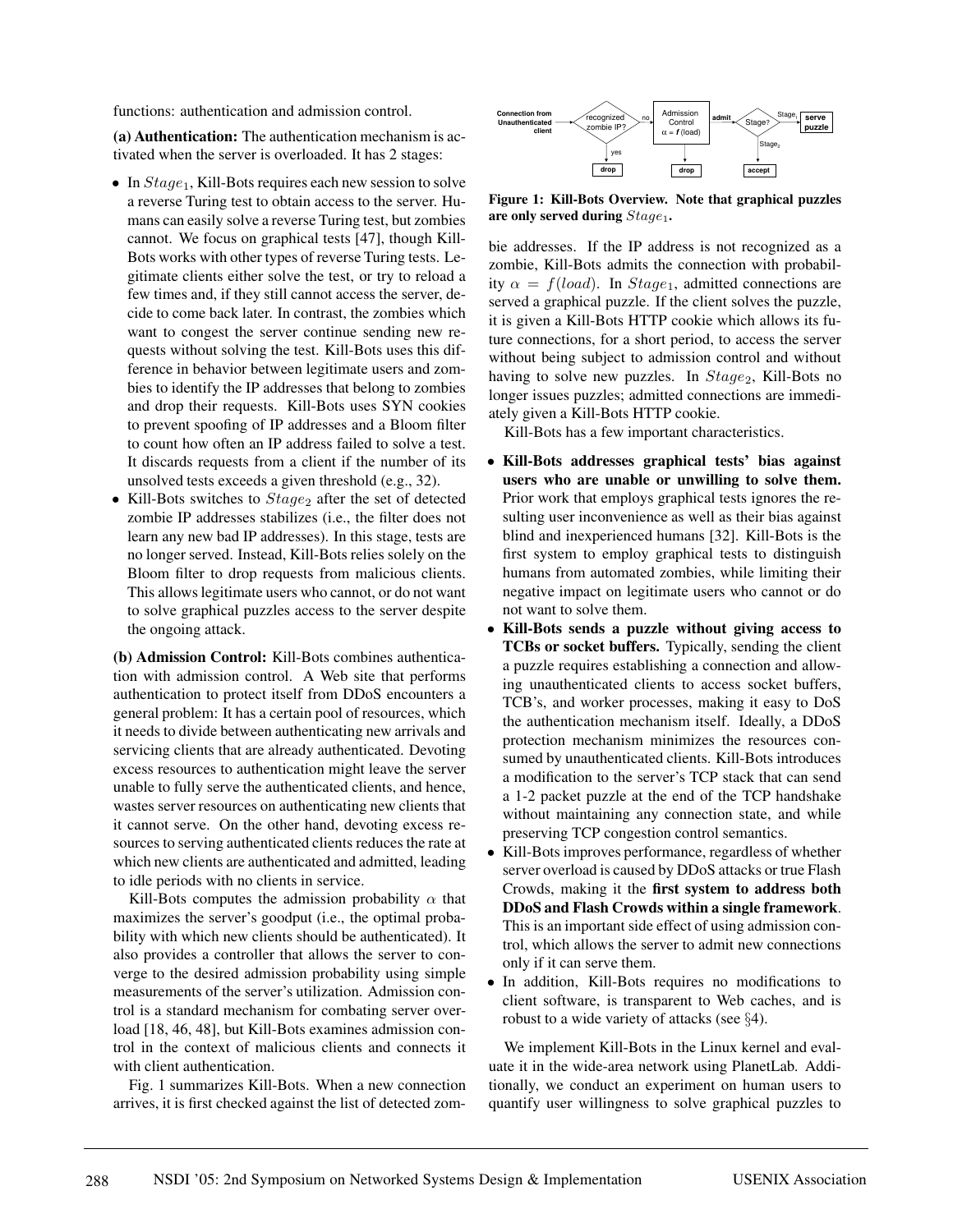functions: authentication and admission control.

**(a) Authentication:** The authentication mechanism is activated when the server is overloaded. It has 2 stages:

- In  $Stage_1$ , Kill-Bots requires each new session to solve a reverse Turing test to obtain access to the server. Humans can easily solve a reverse Turing test, but zombies cannot. We focus on graphical tests [47], though Kill-Bots works with other types of reverse Turing tests. Legitimate clients either solve the test, or try to reload a few times and, if they still cannot access the server, decide to come back later. In contrast, the zombies which want to congest the server continue sending new requests without solving the test. Kill-Bots uses this difference in behavior between legitimate users and zombies to identify the IP addresses that belong to zombies and drop their requests. Kill-Bots uses SYN cookies to prevent spoofing of IP addresses and a Bloom filter to count how often an IP address failed to solve a test. It discards requests from a client if the number of its unsolved tests exceeds a given threshold (e.g., 32).
- Kill-Bots switches to  $Stage_2$  after the set of detected zombie IP addresses stabilizes (i.e., the filter does not learn any new bad IP addresses). In this stage, tests are no longer served. Instead, Kill-Bots relies solely on the Bloom filter to drop requests from malicious clients. This allows legitimate users who cannot, or do not want to solve graphical puzzles access to the server despite the ongoing attack.

**(b) Admission Control:** Kill-Bots combines authentication with admission control. A Web site that performs authentication to protect itself from DDoS encounters a general problem: It has a certain pool of resources, which it needs to divide between authenticating new arrivals and servicing clients that are already authenticated. Devoting excess resources to authentication might leave the server unable to fully serve the authenticated clients, and hence, wastes server resources on authenticating new clients that it cannot serve. On the other hand, devoting excess resources to serving authenticated clients reduces the rate at which new clients are authenticated and admitted, leading to idle periods with no clients in service.

Kill-Bots computes the admission probability  $\alpha$  that maximizes the server's goodput (i.e., the optimal probability with which new clients should be authenticated). It also provides a controller that allows the server to converge to the desired admission probability using simple measurements of the server's utilization. Admission control is a standard mechanism for combating server overload [18, 46, 48], but Kill-Bots examines admission control in the context of malicious clients and connects it with client authentication.

Fig. 1 summarizes Kill-Bots. When a new connection arrives, it is first checked against the list of detected zom-



**Figure 1: Kill-Bots Overview. Note that graphical puzzles** are only served during  $Stage_1$ .

bie addresses. If the IP address is not recognized as a zombie, Kill-Bots admits the connection with probability  $\alpha = f(load)$ . In *Stage*<sub>1</sub>, admitted connections are served a graphical puzzle. If the client solves the puzzle, it is given a Kill-Bots HTTP cookie which allows its future connections, for a short period, to access the server without being subject to admission control and without having to solve new puzzles. In  $Stage_2$ , Kill-Bots no longer issues puzzles; admitted connections are immediately given a Kill-Bots HTTP cookie.

Kill-Bots has a few important characteristics.

- **Kill-Bots addresses graphical tests' bias against users who are unable or unwilling to solve them.** Prior work that employs graphical tests ignores the resulting user inconvenience as well as their bias against blind and inexperienced humans [32]. Kill-Bots is the first system to employ graphical tests to distinguish humans from automated zombies, while limiting their negative impact on legitimate users who cannot or do not want to solve them.
- **Kill-Bots sends a puzzle without giving access to TCBs or socket buffers.** Typically, sending the client a puzzle requires establishing a connection and allowing unauthenticated clients to access socket buffers, TCB's, and worker processes, making it easy to DoS the authentication mechanism itself. Ideally, a DDoS protection mechanism minimizes the resources consumed by unauthenticated clients. Kill-Bots introduces a modification to the server's TCP stack that can send a 1-2 packet puzzle at the end of the TCP handshake without maintaining any connection state, and while preserving TCP congestion control semantics.
- Kill-Bots improves performance, regardless of whether server overload is caused by DDoS attacks or true Flash Crowds, making it the **first system to address both DDoS and Flash Crowds within a single framework**. This is an important side effect of using admission control, which allows the server to admit new connections only if it can serve them.
- In addition, Kill-Bots requires no modifications to client software, is transparent to Web caches, and is robust to a wide variety of attacks (see §4).

We implement Kill-Bots in the Linux kernel and evaluate it in the wide-area network using PlanetLab. Additionally, we conduct an experiment on human users to quantify user willingness to solve graphical puzzles to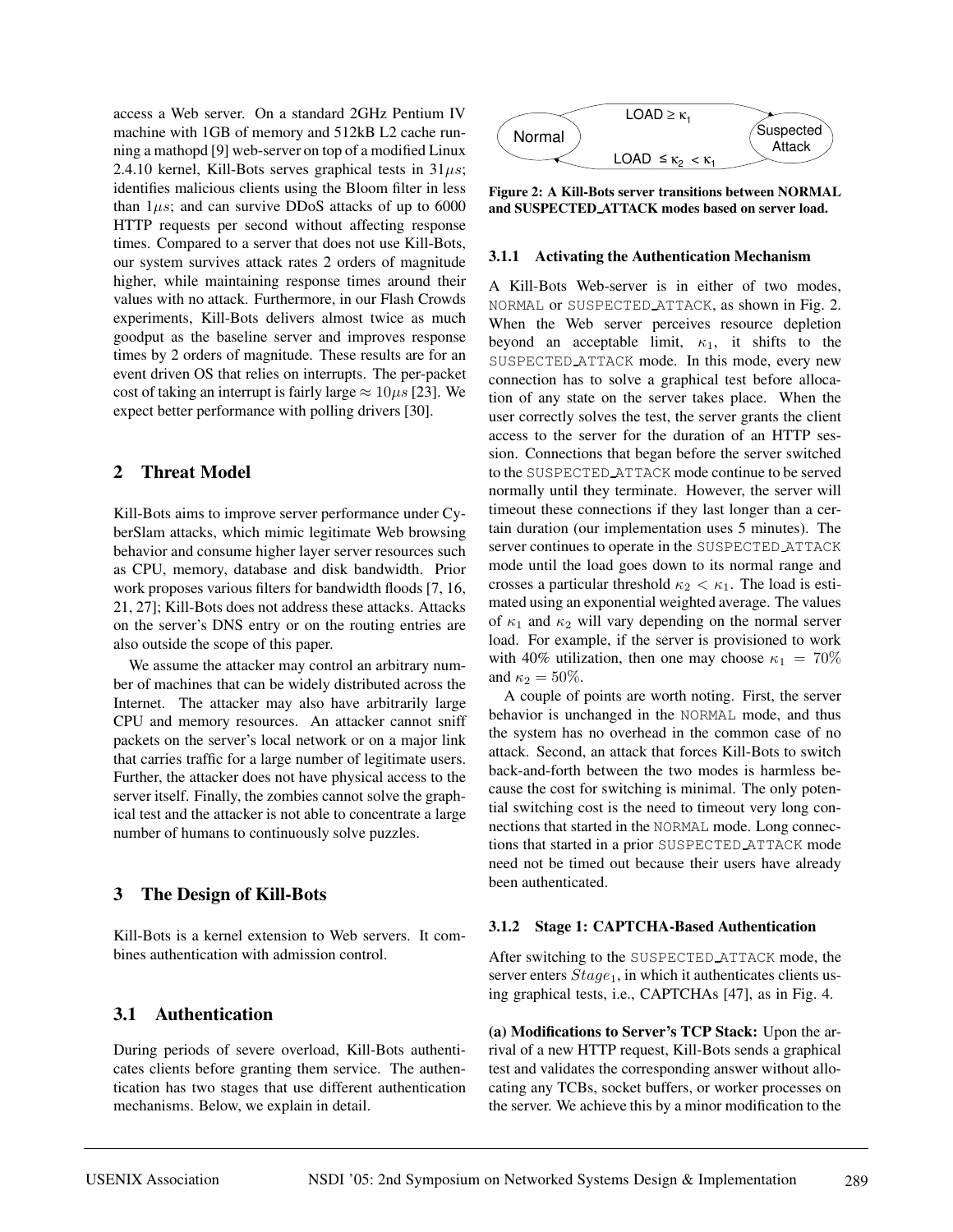access a Web server. On a standard 2GHz Pentium IV machine with 1GB of memory and 512kB L2 cache running a mathopd [9] web-server on top of a modified Linux 2.4.10 kernel, Kill-Bots serves graphical tests in  $31\mu s$ ; identifies malicious clients using the Bloom filter in less than  $1\mu s$ ; and can survive DDoS attacks of up to 6000 HTTP requests per second without affecting response times. Compared to a server that does not use Kill-Bots, our system survives attack rates 2 orders of magnitude higher, while maintaining response times around their values with no attack. Furthermore, in our Flash Crowds experiments, Kill-Bots delivers almost twice as much goodput as the baseline server and improves response times by 2 orders of magnitude. These results are for an event driven OS that relies on interrupts. The per-packet cost of taking an interrupt is fairly large  $\approx 10 \mu s$  [23]. We expect better performance with polling drivers [30].

## **2 Threat Model**

Kill-Bots aims to improve server performance under CyberSlam attacks, which mimic legitimate Web browsing behavior and consume higher layer server resources such as CPU, memory, database and disk bandwidth. Prior work proposes various filters for bandwidth floods [7, 16, 21, 27]; Kill-Bots does not address these attacks. Attacks on the server's DNS entry or on the routing entries are also outside the scope of this paper.

We assume the attacker may control an arbitrary number of machines that can be widely distributed across the Internet. The attacker may also have arbitrarily large CPU and memory resources. An attacker cannot sniff packets on the server's local network or on a major link that carries traffic for a large number of legitimate users. Further, the attacker does not have physical access to the server itself. Finally, the zombies cannot solve the graphical test and the attacker is not able to concentrate a large number of humans to continuously solve puzzles.

# **3 The Design of Kill-Bots**

Kill-Bots is a kernel extension to Web servers. It combines authentication with admission control.

# **3.1 Authentication**

During periods of severe overload, Kill-Bots authenticates clients before granting them service. The authentication has two stages that use different authentication mechanisms. Below, we explain in detail.



**Figure 2: A Kill-Bots server transitions between NORMAL and SUSPECTED ATTACK modes based on server load.**

#### **3.1.1 Activating the Authentication Mechanism**

A Kill-Bots Web-server is in either of two modes, NORMAL or SUSPECTED ATTACK, as shown in Fig. 2. When the Web server perceives resource depletion beyond an acceptable limit,  $\kappa_1$ , it shifts to the SUSPECTED ATTACK mode. In this mode, every new connection has to solve a graphical test before allocation of any state on the server takes place. When the user correctly solves the test, the server grants the client access to the server for the duration of an HTTP session. Connections that began before the server switched to the SUSPECTED ATTACK mode continue to be served normally until they terminate. However, the server will timeout these connections if they last longer than a certain duration (our implementation uses 5 minutes). The server continues to operate in the SUSPECTED ATTACK mode until the load goes down to its normal range and crosses a particular threshold  $\kappa_2 < \kappa_1$ . The load is estimated using an exponential weighted average. The values of  $\kappa_1$  and  $\kappa_2$  will vary depending on the normal server load. For example, if the server is provisioned to work with 40% utilization, then one may choose  $\kappa_1 = 70\%$ and  $\kappa_2 = 50\%$ .

A couple of points are worth noting. First, the server behavior is unchanged in the NORMAL mode, and thus the system has no overhead in the common case of no attack. Second, an attack that forces Kill-Bots to switch back-and-forth between the two modes is harmless because the cost for switching is minimal. The only potential switching cost is the need to timeout very long connections that started in the NORMAL mode. Long connections that started in a prior SUSPECTED ATTACK mode need not be timed out because their users have already been authenticated.

#### **3.1.2 Stage 1: CAPTCHA-Based Authentication**

After switching to the SUSPECTED ATTACK mode, the server enters  $Stage_1$ , in which it authenticates clients using graphical tests, i.e., CAPTCHAs [47], as in Fig. 4.

**(a) Modifications to Server's TCP Stack:** Upon the arrival of a new HTTP request, Kill-Bots sends a graphical test and validates the corresponding answer without allocating any TCBs, socket buffers, or worker processes on the server. We achieve this by a minor modification to the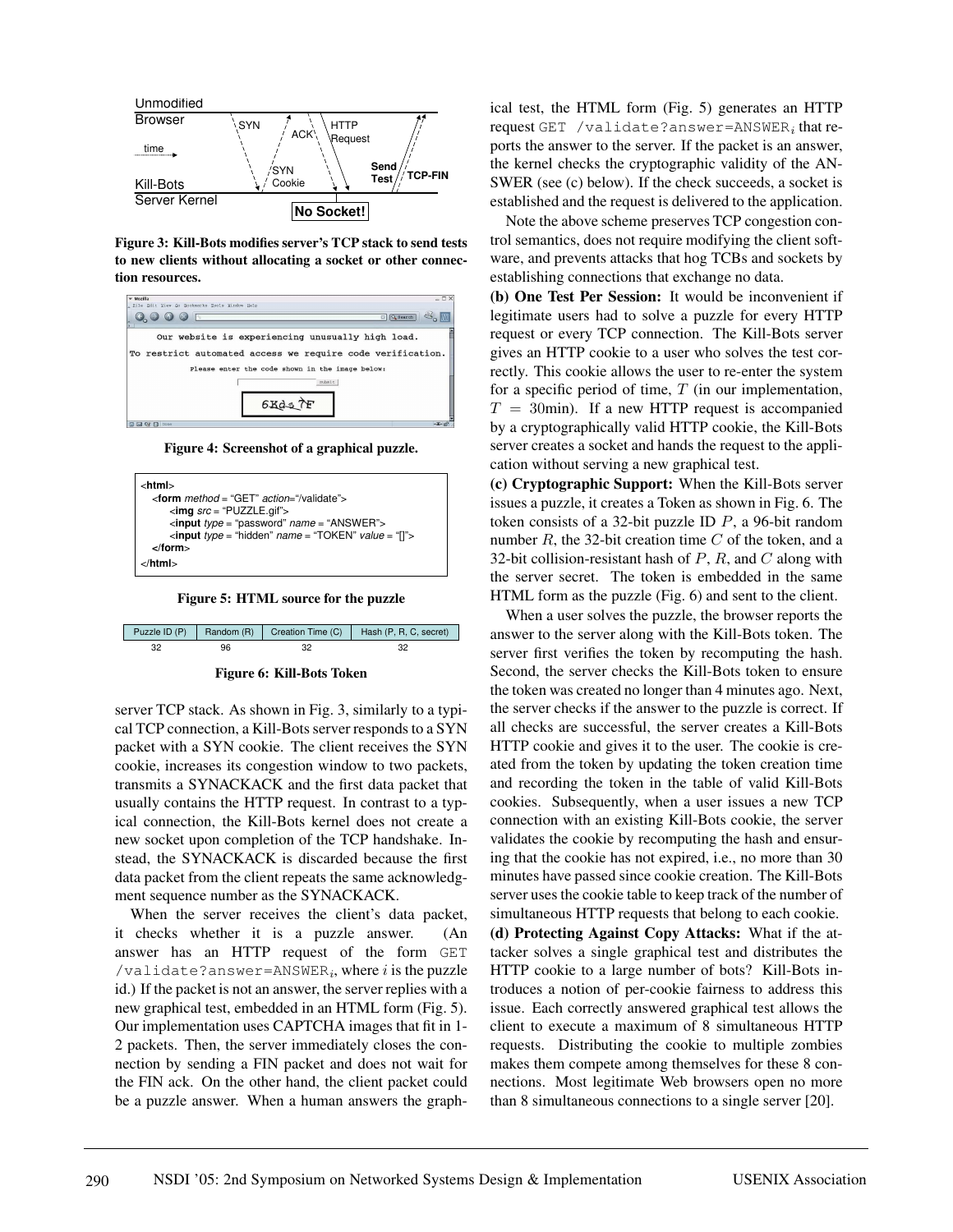

**Figure 3: Kill-Bots modifies server's TCP stack to send tests to new clients without allocating a socket or other connection resources.**



**Figure 4: Screenshot of a graphical puzzle.**



**Figure 5: HTML source for the puzzle**



server TCP stack. As shown in Fig. 3, similarly to a typical TCP connection, a Kill-Bots server responds to a SYN packet with a SYN cookie. The client receives the SYN cookie, increases its congestion window to two packets, transmits a SYNACKACK and the first data packet that usually contains the HTTP request. In contrast to a typical connection, the Kill-Bots kernel does not create a new socket upon completion of the TCP handshake. Instead, the SYNACKACK is discarded because the first data packet from the client repeats the same acknowledgment sequence number as the SYNACKACK.

When the server receives the client's data packet, it checks whether it is a puzzle answer. (An answer has an HTTP request of the form GET /validate?answer=ANSWER<sub>i</sub>, where i is the puzzle id.) If the packet is not an answer, the server replies with a new graphical test, embedded in an HTML form (Fig. 5). Our implementation uses CAPTCHA images that fit in 1- 2 packets. Then, the server immediately closes the connection by sending a FIN packet and does not wait for the FIN ack. On the other hand, the client packet could be a puzzle answer. When a human answers the graphical test, the HTML form (Fig. 5) generates an HTTP request GET /validate?answer=ANSWER<sub>i</sub> that reports the answer to the server. If the packet is an answer, the kernel checks the cryptographic validity of the AN-SWER (see (c) below). If the check succeeds, a socket is established and the request is delivered to the application.

Note the above scheme preserves TCP congestion control semantics, does not require modifying the client software, and prevents attacks that hog TCBs and sockets by establishing connections that exchange no data.

**(b) One Test Per Session:** It would be inconvenient if legitimate users had to solve a puzzle for every HTTP request or every TCP connection. The Kill-Bots server gives an HTTP cookie to a user who solves the test correctly. This cookie allows the user to re-enter the system for a specific period of time,  $T$  (in our implementation,  $T = 30$ min). If a new HTTP request is accompanied by a cryptographically valid HTTP cookie, the Kill-Bots server creates a socket and hands the request to the application without serving a new graphical test.

**(c) Cryptographic Support:** When the Kill-Bots server issues a puzzle, it creates a Token as shown in Fig. 6. The token consists of a 32-bit puzzle ID P, a 96-bit random number  $R$ , the 32-bit creation time  $C$  of the token, and a 32-bit collision-resistant hash of  $P$ ,  $R$ , and  $C$  along with the server secret. The token is embedded in the same HTML form as the puzzle (Fig. 6) and sent to the client.

When a user solves the puzzle, the browser reports the answer to the server along with the Kill-Bots token. The server first verifies the token by recomputing the hash. Second, the server checks the Kill-Bots token to ensure the token was created no longer than 4 minutes ago. Next, the server checks if the answer to the puzzle is correct. If all checks are successful, the server creates a Kill-Bots HTTP cookie and gives it to the user. The cookie is created from the token by updating the token creation time and recording the token in the table of valid Kill-Bots cookies. Subsequently, when a user issues a new TCP connection with an existing Kill-Bots cookie, the server validates the cookie by recomputing the hash and ensuring that the cookie has not expired, i.e., no more than 30 minutes have passed since cookie creation. The Kill-Bots server uses the cookie table to keep track of the number of simultaneous HTTP requests that belong to each cookie. **(d) Protecting Against Copy Attacks:** What if the attacker solves a single graphical test and distributes the HTTP cookie to a large number of bots? Kill-Bots introduces a notion of per-cookie fairness to address this issue. Each correctly answered graphical test allows the client to execute a maximum of 8 simultaneous HTTP requests. Distributing the cookie to multiple zombies makes them compete among themselves for these 8 connections. Most legitimate Web browsers open no more than 8 simultaneous connections to a single server [20].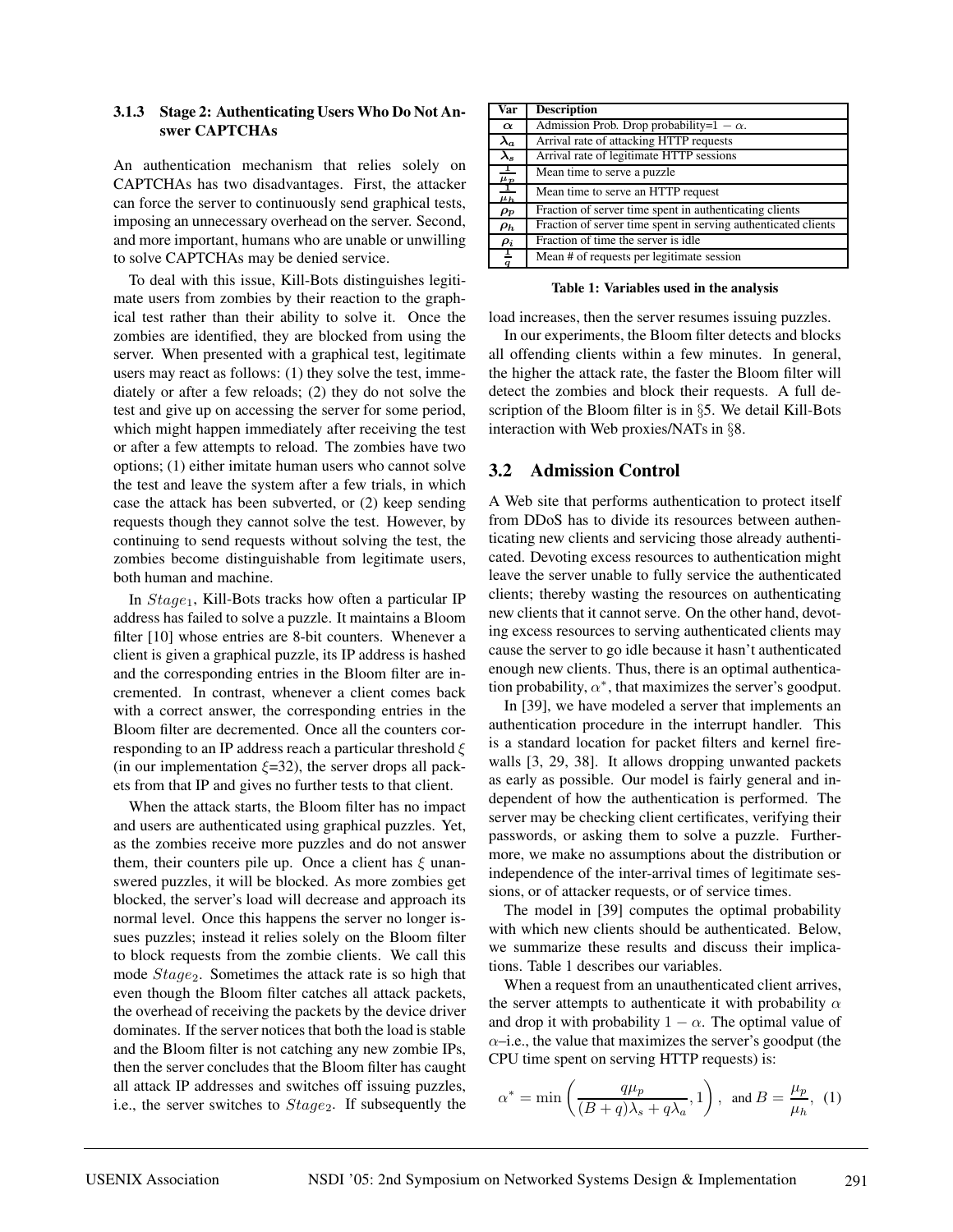#### **3.1.3 Stage 2: Authenticating Users Who Do Not Answer CAPTCHAs**

An authentication mechanism that relies solely on CAPTCHAs has two disadvantages. First, the attacker can force the server to continuously send graphical tests, imposing an unnecessary overhead on the server. Second, and more important, humans who are unable or unwilling to solve CAPTCHAs may be denied service.

To deal with this issue, Kill-Bots distinguishes legitimate users from zombies by their reaction to the graphical test rather than their ability to solve it. Once the zombies are identified, they are blocked from using the server. When presented with a graphical test, legitimate users may react as follows: (1) they solve the test, immediately or after a few reloads; (2) they do not solve the test and give up on accessing the server for some period, which might happen immediately after receiving the test or after a few attempts to reload. The zombies have two options; (1) either imitate human users who cannot solve the test and leave the system after a few trials, in which case the attack has been subverted, or (2) keep sending requests though they cannot solve the test. However, by continuing to send requests without solving the test, the zombies become distinguishable from legitimate users, both human and machine.

In  $Stage_1$ , Kill-Bots tracks how often a particular IP address has failed to solve a puzzle. It maintains a Bloom filter [10] whose entries are 8-bit counters. Whenever a client is given a graphical puzzle, its IP address is hashed and the corresponding entries in the Bloom filter are incremented. In contrast, whenever a client comes back with a correct answer, the corresponding entries in the Bloom filter are decremented. Once all the counters corresponding to an IP address reach a particular threshold  $\xi$ (in our implementation  $\xi$ =32), the server drops all packets from that IP and gives no further tests to that client.

When the attack starts, the Bloom filter has no impact and users are authenticated using graphical puzzles. Yet, as the zombies receive more puzzles and do not answer them, their counters pile up. Once a client has  $\xi$  unanswered puzzles, it will be blocked. As more zombies get blocked, the server's load will decrease and approach its normal level. Once this happens the server no longer issues puzzles; instead it relies solely on the Bloom filter to block requests from the zombie clients. We call this mode  $Stage_2$ . Sometimes the attack rate is so high that even though the Bloom filter catches all attack packets, the overhead of receiving the packets by the device driver dominates. If the server notices that both the load is stable and the Bloom filter is not catching any new zombie IPs, then the server concludes that the Bloom filter has caught all attack IP addresses and switches off issuing puzzles, i.e., the server switches to  $Stage_2$ . If subsequently the

| Var                                       | <b>Description</b>                                             |
|-------------------------------------------|----------------------------------------------------------------|
| $\alpha$                                  | Admission Prob. Drop probability= $1 - \alpha$ .               |
| $\lambda_a$                               | Arrival rate of attacking HTTP requests                        |
| $\lambda_s$                               | Arrival rate of legitimate HTTP sessions                       |
| $\frac{\frac{1}{\mu_p}}{\frac{1}{\mu_h}}$ | Mean time to serve a puzzle                                    |
|                                           | Mean time to serve an HTTP request                             |
| $\rho_p$                                  | Fraction of server time spent in authenticating clients        |
| $\rho_h$                                  | Fraction of server time spent in serving authenticated clients |
| $\rho_i$                                  | Fraction of time the server is idle                            |
| $\frac{1}{q}$                             | Mean # of requests per legitimate session                      |

**Table 1: Variables used in the analysis**

load increases, then the server resumes issuing puzzles.

In our experiments, the Bloom filter detects and blocks all offending clients within a few minutes. In general, the higher the attack rate, the faster the Bloom filter will detect the zombies and block their requests. A full description of the Bloom filter is in §5. We detail Kill-Bots interaction with Web proxies/NATs in §8.

## **3.2 Admission Control**

A Web site that performs authentication to protect itself from DDoS has to divide its resources between authenticating new clients and servicing those already authenticated. Devoting excess resources to authentication might leave the server unable to fully service the authenticated clients; thereby wasting the resources on authenticating new clients that it cannot serve. On the other hand, devoting excess resources to serving authenticated clients may cause the server to go idle because it hasn't authenticated enough new clients. Thus, there is an optimal authentication probability,  $\alpha^*$ , that maximizes the server's goodput.

In [39], we have modeled a server that implements an authentication procedure in the interrupt handler. This is a standard location for packet filters and kernel firewalls [3, 29, 38]. It allows dropping unwanted packets as early as possible. Our model is fairly general and independent of how the authentication is performed. The server may be checking client certificates, verifying their passwords, or asking them to solve a puzzle. Furthermore, we make no assumptions about the distribution or independence of the inter-arrival times of legitimate sessions, or of attacker requests, or of service times.

The model in [39] computes the optimal probability with which new clients should be authenticated. Below, we summarize these results and discuss their implications. Table 1 describes our variables.

When a request from an unauthenticated client arrives, the server attempts to authenticate it with probability  $\alpha$ and drop it with probability  $1 - \alpha$ . The optimal value of  $\alpha$ –i.e., the value that maximizes the server's goodput (the CPU time spent on serving HTTP requests) is:

$$
\alpha^* = \min\left(\frac{q\mu_p}{(B+q)\lambda_s + q\lambda_a}, 1\right), \text{ and } B = \frac{\mu_p}{\mu_h}, (1)
$$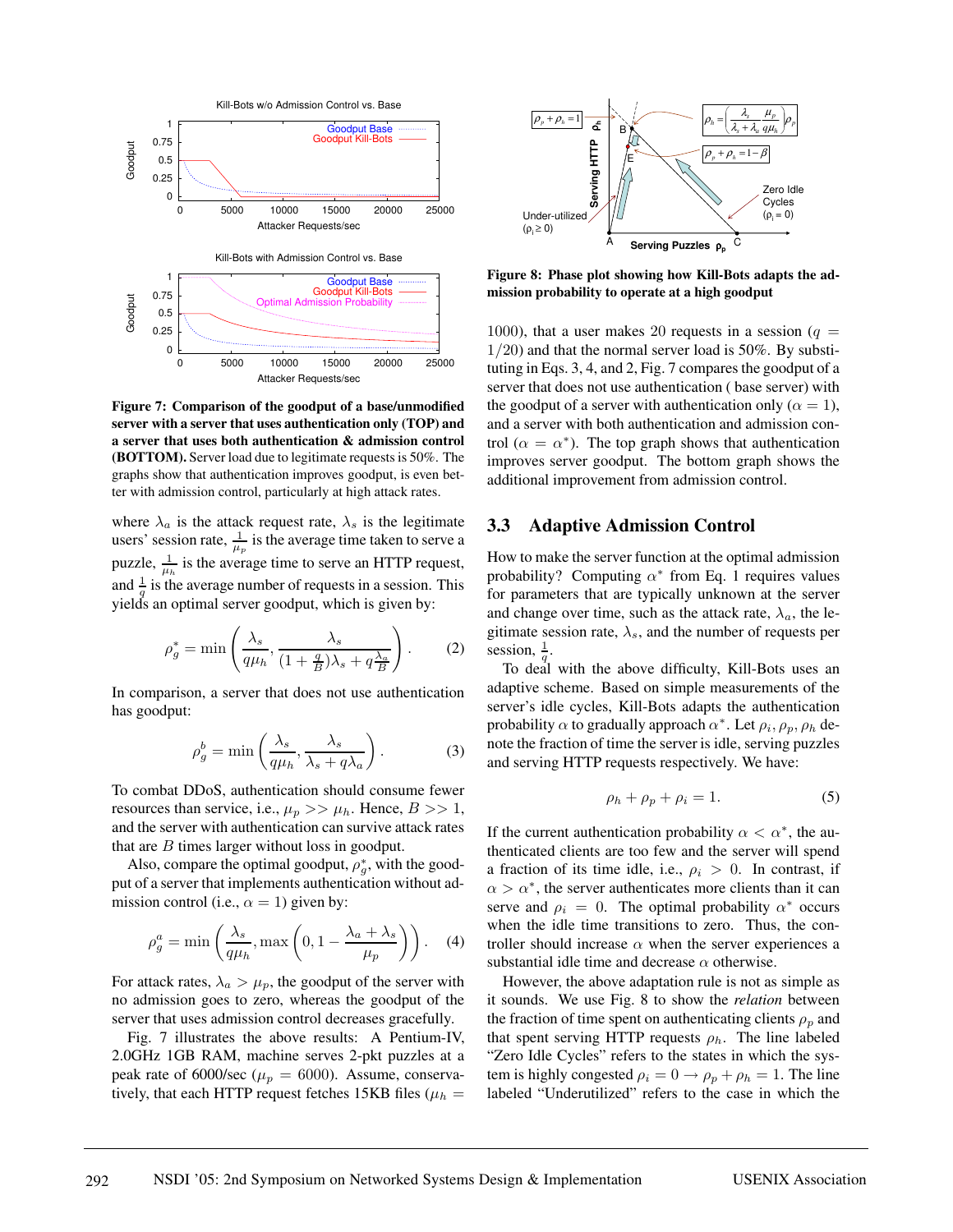

**Figure 7: Comparison of the goodput of a base/unmodified server with a server that uses authentication only (TOP) and a server that uses both authentication & admission control (BOTTOM).** Server load due to legitimate requests is 50%. The graphs show that authentication improves goodput, is even better with admission control, particularly at high attack rates.

where  $\lambda_a$  is the attack request rate,  $\lambda_s$  is the legitimate users' session rate,  $\frac{1}{\mu_p}$  is the average time taken to serve a puzzle,  $\frac{1}{\mu_h}$  is the average time to serve an HTTP request, and  $\frac{1}{q}$  is the average number of requests in a session. This yields an optimal server goodput, which is given by:

$$
\rho_g^* = \min\left(\frac{\lambda_s}{q\mu_h}, \frac{\lambda_s}{(1 + \frac{q}{B})\lambda_s + q\frac{\lambda_a}{B}}\right). \tag{2}
$$

In comparison, a server that does not use authentication has goodput:

$$
\rho_g^b = \min\left(\frac{\lambda_s}{q\mu_h}, \frac{\lambda_s}{\lambda_s + q\lambda_a}\right). \tag{3}
$$

To combat DDoS, authentication should consume fewer resources than service, i.e.,  $\mu_p >> \mu_h$ . Hence,  $B >> 1$ , and the server with authentication can survive attack rates that are  $B$  times larger without loss in goodput.

Also, compare the optimal goodput,  $\rho_g^*$ , with the goodput of a server that implements authentication without admission control (i.e.,  $\alpha = 1$ ) given by:

$$
\rho_g^a = \min\left(\frac{\lambda_s}{q\mu_h}, \max\left(0, 1 - \frac{\lambda_a + \lambda_s}{\mu_p}\right)\right). \quad (4)
$$

For attack rates,  $\lambda_a > \mu_p$ , the goodput of the server with no admission goes to zero, whereas the goodput of the server that uses admission control decreases gracefully.

Fig. 7 illustrates the above results: A Pentium-IV, 2.0GHz 1GB RAM, machine serves 2-pkt puzzles at a peak rate of 6000/sec ( $\mu_p = 6000$ ). Assume, conservatively, that each HTTP request fetches 15KB files ( $\mu_h$  =



**Figure 8: Phase plot showing how Kill-Bots adapts the admission probability to operate at a high goodput**

1000), that a user makes 20 requests in a session ( $q =$  $1/20$ ) and that the normal server load is 50%. By substituting in Eqs. 3, 4, and 2, Fig. 7 compares the goodput of a server that does not use authentication ( base server) with the goodput of a server with authentication only ( $\alpha = 1$ ), and a server with both authentication and admission control ( $\alpha = \alpha^*$ ). The top graph shows that authentication improves server goodput. The bottom graph shows the additional improvement from admission control.

#### **3.3 Adaptive Admission Control**

How to make the server function at the optimal admission probability? Computing  $\alpha^*$  from Eq. 1 requires values for parameters that are typically unknown at the server and change over time, such as the attack rate,  $\lambda_a$ , the legitimate session rate,  $\lambda_s$ , and the number of requests per session,  $\frac{1}{q}$ .

To deal with the above difficulty, Kill-Bots uses an adaptive scheme. Based on simple measurements of the server's idle cycles, Kill-Bots adapts the authentication probability  $\alpha$  to gradually approach  $\alpha^*$ . Let  $\rho_i$ ,  $\rho_p$ ,  $\rho_h$  denote the fraction of time the server is idle, serving puzzles and serving HTTP requests respectively. We have:

$$
\rho_h + \rho_p + \rho_i = 1. \tag{5}
$$

If the current authentication probability  $\alpha < \alpha^*$ , the authenticated clients are too few and the server will spend a fraction of its time idle, i.e.,  $\rho_i > 0$ . In contrast, if  $\alpha > \alpha^*$ , the server authenticates more clients than it can serve and  $\rho_i = 0$ . The optimal probability  $\alpha^*$  occurs when the idle time transitions to zero. Thus, the controller should increase  $\alpha$  when the server experiences a substantial idle time and decrease  $\alpha$  otherwise.

However, the above adaptation rule is not as simple as it sounds. We use Fig. 8 to show the *relation* between the fraction of time spent on authenticating clients  $\rho_p$  and that spent serving HTTP requests  $\rho_h$ . The line labeled "Zero Idle Cycles" refers to the states in which the system is highly congested  $\rho_i = 0 \rightarrow \rho_p + \rho_h = 1$ . The line labeled "Underutilized" refers to the case in which the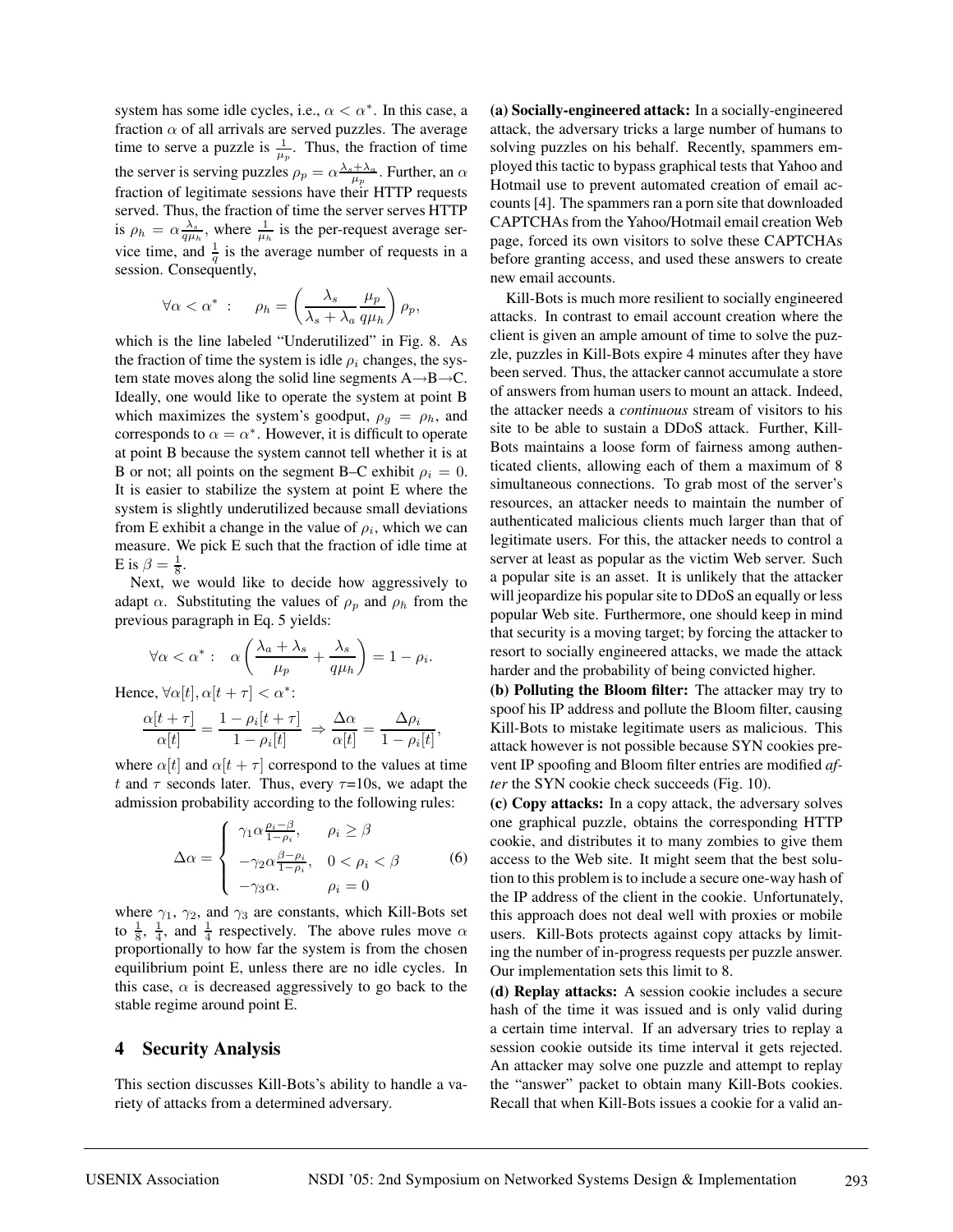system has some idle cycles, i.e.,  $\alpha < \alpha^*$ . In this case, a fraction  $\alpha$  of all arrivals are served puzzles. The average time to serve a puzzle is  $\frac{1}{\mu_p}$ . Thus, the fraction of time the server is serving puzzles  $\rho_p = \alpha \frac{\lambda_s + \lambda_a}{\mu_p}$ . Further, an  $\alpha$ fraction of legitimate sessions have their HTTP requests served. Thus, the fraction of time the server serves HTTP is  $\rho_h = \alpha \frac{\lambda_s}{q \mu_h}$ , where  $\frac{1}{\mu_h}$  is the per-request average service time, and  $\frac{1}{q}$  is the average number of requests in a session. Consequently,

$$
\forall \alpha < \alpha^* \; : \quad \rho_h = \left(\frac{\lambda_s}{\lambda_s + \lambda_a} \frac{\mu_p}{q \mu_h}\right) \rho_p,
$$

which is the line labeled "Underutilized" in Fig. 8. As the fraction of time the system is idle  $\rho_i$  changes, the system state moves along the solid line segments  $A \rightarrow B \rightarrow C$ . Ideally, one would like to operate the system at point B which maximizes the system's goodput,  $\rho_q = \rho_h$ , and corresponds to  $\alpha = \alpha^*$ . However, it is difficult to operate at point B because the system cannot tell whether it is at B or not; all points on the segment B–C exhibit  $\rho_i = 0$ . It is easier to stabilize the system at point E where the system is slightly underutilized because small deviations from E exhibit a change in the value of  $\rho_i$ , which we can measure. We pick E such that the fraction of idle time at E is  $\beta = \frac{1}{8}$ .

Next, we would like to decide how aggressively to adapt  $\alpha$ . Substituting the values of  $\rho_p$  and  $\rho_h$  from the previous paragraph in Eq. 5 yields:

$$
\forall \alpha < \alpha^* : \alpha \left( \frac{\lambda_a + \lambda_s}{\mu_p} + \frac{\lambda_s}{q\mu_h} \right) = 1 - \rho_i.
$$

Hence,  $\forall \alpha[t], \alpha[t + \tau] < \alpha^*$ :

$$
\frac{\alpha[t+\tau]}{\alpha[t]} = \frac{1-\rho_i[t+\tau]}{1-\rho_i[t]} \Rightarrow \frac{\Delta\alpha}{\alpha[t]} = \frac{\Delta\rho_i}{1-\rho_i[t]},
$$

where  $\alpha[t]$  and  $\alpha[t + \tau]$  correspond to the values at time t and  $\tau$  seconds later. Thus, every  $\tau=10$ s, we adapt the admission probability according to the following rules:

$$
\Delta \alpha = \begin{cases}\n\gamma_1 \alpha \frac{\rho_i - \beta}{1 - \rho_i}, & \rho_i \ge \beta \\
-\gamma_2 \alpha \frac{\beta - \rho_i}{1 - \rho_i}, & 0 < \rho_i < \beta \\
-\gamma_3 \alpha. & \rho_i = 0\n\end{cases}
$$
\n(6)

where  $\gamma_1$ ,  $\gamma_2$ , and  $\gamma_3$  are constants, which Kill-Bots set to  $\frac{1}{8}$ ,  $\frac{1}{4}$ , and  $\frac{1}{4}$  respectively. The above rules move  $\alpha$ proportionally to how far the system is from the chosen equilibrium point E, unless there are no idle cycles. In this case,  $\alpha$  is decreased aggressively to go back to the stable regime around point E.

## **4 Security Analysis**

This section discusses Kill-Bots's ability to handle a variety of attacks from a determined adversary.

**(a) Socially-engineered attack:** In a socially-engineered attack, the adversary tricks a large number of humans to solving puzzles on his behalf. Recently, spammers employed this tactic to bypass graphical tests that Yahoo and Hotmail use to prevent automated creation of email accounts [4]. The spammers ran a porn site that downloaded CAPTCHAs from the Yahoo/Hotmail email creation Web page, forced its own visitors to solve these CAPTCHAs before granting access, and used these answers to create new email accounts.

Kill-Bots is much more resilient to socially engineered attacks. In contrast to email account creation where the client is given an ample amount of time to solve the puzzle, puzzles in Kill-Bots expire 4 minutes after they have been served. Thus, the attacker cannot accumulate a store of answers from human users to mount an attack. Indeed, the attacker needs a *continuous* stream of visitors to his site to be able to sustain a DDoS attack. Further, Kill-Bots maintains a loose form of fairness among authenticated clients, allowing each of them a maximum of 8 simultaneous connections. To grab most of the server's resources, an attacker needs to maintain the number of authenticated malicious clients much larger than that of legitimate users. For this, the attacker needs to control a server at least as popular as the victim Web server. Such a popular site is an asset. It is unlikely that the attacker will jeopardize his popular site to DDoS an equally or less popular Web site. Furthermore, one should keep in mind that security is a moving target; by forcing the attacker to resort to socially engineered attacks, we made the attack harder and the probability of being convicted higher.

**(b) Polluting the Bloom filter:** The attacker may try to spoof his IP address and pollute the Bloom filter, causing Kill-Bots to mistake legitimate users as malicious. This attack however is not possible because SYN cookies prevent IP spoofing and Bloom filter entries are modified *after* the SYN cookie check succeeds (Fig. 10).

**(c) Copy attacks:** In a copy attack, the adversary solves one graphical puzzle, obtains the corresponding HTTP cookie, and distributes it to many zombies to give them access to the Web site. It might seem that the best solution to this problem is to include a secure one-way hash of the IP address of the client in the cookie. Unfortunately, this approach does not deal well with proxies or mobile users. Kill-Bots protects against copy attacks by limiting the number of in-progress requests per puzzle answer. Our implementation sets this limit to 8.

**(d) Replay attacks:** A session cookie includes a secure hash of the time it was issued and is only valid during a certain time interval. If an adversary tries to replay a session cookie outside its time interval it gets rejected. An attacker may solve one puzzle and attempt to replay the "answer" packet to obtain many Kill-Bots cookies. Recall that when Kill-Bots issues a cookie for a valid an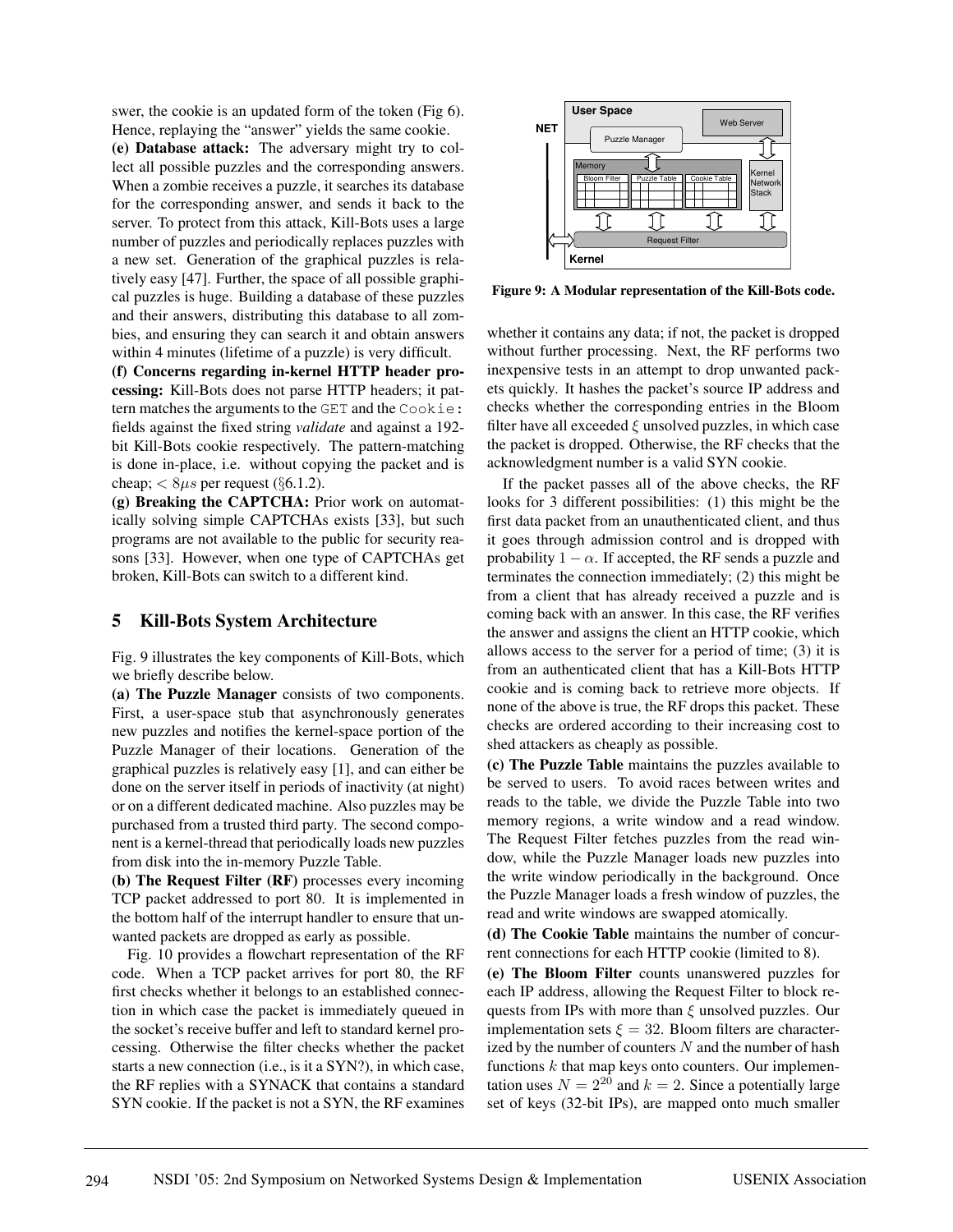swer, the cookie is an updated form of the token (Fig 6). Hence, replaying the "answer" yields the same cookie.

**(e) Database attack:** The adversary might try to collect all possible puzzles and the corresponding answers. When a zombie receives a puzzle, it searches its database for the corresponding answer, and sends it back to the server. To protect from this attack, Kill-Bots uses a large number of puzzles and periodically replaces puzzles with a new set. Generation of the graphical puzzles is relatively easy [47]. Further, the space of all possible graphical puzzles is huge. Building a database of these puzzles and their answers, distributing this database to all zombies, and ensuring they can search it and obtain answers within 4 minutes (lifetime of a puzzle) is very difficult.

**(f) Concerns regarding in-kernel HTTP header processing:** Kill-Bots does not parse HTTP headers; it pattern matches the arguments to the GET and the Cookie: fields against the fixed string *validate* and against a 192 bit Kill-Bots cookie respectively. The pattern-matching is done in-place, i.e. without copying the packet and is cheap;  $\langle 8\mu s \rangle$  per request (§6.1.2).

**(g) Breaking the CAPTCHA:** Prior work on automatically solving simple CAPTCHAs exists [33], but such programs are not available to the public for security reasons [33]. However, when one type of CAPTCHAs get broken, Kill-Bots can switch to a different kind.

# **5 Kill-Bots System Architecture**

Fig. 9 illustrates the key components of Kill-Bots, which we briefly describe below.

**(a) The Puzzle Manager** consists of two components. First, a user-space stub that asynchronously generates new puzzles and notifies the kernel-space portion of the Puzzle Manager of their locations. Generation of the graphical puzzles is relatively easy [1], and can either be done on the server itself in periods of inactivity (at night) or on a different dedicated machine. Also puzzles may be purchased from a trusted third party. The second component is a kernel-thread that periodically loads new puzzles from disk into the in-memory Puzzle Table.

**(b) The Request Filter (RF)** processes every incoming TCP packet addressed to port 80. It is implemented in the bottom half of the interrupt handler to ensure that unwanted packets are dropped as early as possible.

Fig. 10 provides a flowchart representation of the RF code. When a TCP packet arrives for port 80, the RF first checks whether it belongs to an established connection in which case the packet is immediately queued in the socket's receive buffer and left to standard kernel processing. Otherwise the filter checks whether the packet starts a new connection (i.e., is it a SYN?), in which case, the RF replies with a SYNACK that contains a standard SYN cookie. If the packet is not a SYN, the RF examines



**Figure 9: A Modular representation of the Kill-Bots code.**

whether it contains any data; if not, the packet is dropped without further processing. Next, the RF performs two inexpensive tests in an attempt to drop unwanted packets quickly. It hashes the packet's source IP address and checks whether the corresponding entries in the Bloom filter have all exceeded  $\xi$  unsolved puzzles, in which case the packet is dropped. Otherwise, the RF checks that the acknowledgment number is a valid SYN cookie.

If the packet passes all of the above checks, the RF looks for 3 different possibilities: (1) this might be the first data packet from an unauthenticated client, and thus it goes through admission control and is dropped with probability  $1 - \alpha$ . If accepted, the RF sends a puzzle and terminates the connection immediately; (2) this might be from a client that has already received a puzzle and is coming back with an answer. In this case, the RF verifies the answer and assigns the client an HTTP cookie, which allows access to the server for a period of time; (3) it is from an authenticated client that has a Kill-Bots HTTP cookie and is coming back to retrieve more objects. If none of the above is true, the RF drops this packet. These checks are ordered according to their increasing cost to shed attackers as cheaply as possible.

**(c) The Puzzle Table** maintains the puzzles available to be served to users. To avoid races between writes and reads to the table, we divide the Puzzle Table into two memory regions, a write window and a read window. The Request Filter fetches puzzles from the read window, while the Puzzle Manager loads new puzzles into the write window periodically in the background. Once the Puzzle Manager loads a fresh window of puzzles, the read and write windows are swapped atomically.

**(d) The Cookie Table** maintains the number of concurrent connections for each HTTP cookie (limited to 8).

**(e) The Bloom Filter** counts unanswered puzzles for each IP address, allowing the Request Filter to block requests from IPs with more than  $\xi$  unsolved puzzles. Our implementation sets  $\xi = 32$ . Bloom filters are characterized by the number of counters  $N$  and the number of hash functions  $k$  that map keys onto counters. Our implementation uses  $N = 2^{20}$  and  $k = 2$ . Since a potentially large set of keys (32-bit IPs), are mapped onto much smaller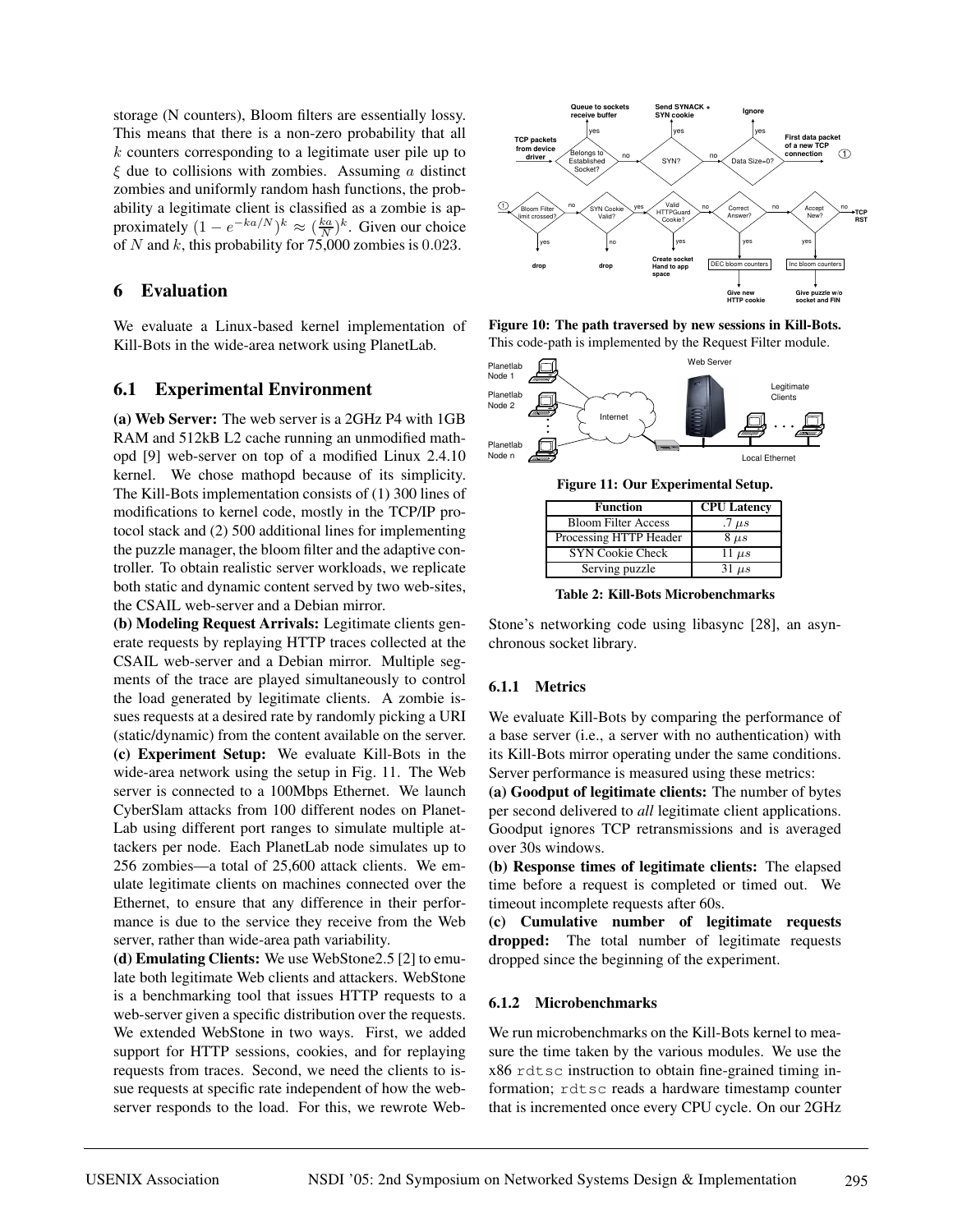storage (N counters), Bloom filters are essentially lossy. This means that there is a non-zero probability that all  $k$  counters corresponding to a legitimate user pile up to  $\xi$  due to collisions with zombies. Assuming a distinct zombies and uniformly random hash functions, the probability a legitimate client is classified as a zombie is approximately  $(1 - e^{-ka/N})^k \approx (\frac{ka}{N})^k$ . Given our choice of N and k, this probability for  $75,000$  zombies is 0.023.

# **6 Evaluation**

We evaluate a Linux-based kernel implementation of Kill-Bots in the wide-area network using PlanetLab.

# **6.1 Experimental Environment**

**(a) Web Server:** The web server is a 2GHz P4 with 1GB RAM and  $512kB$  L2 cache running an unmodified mathopd [9] web-server on top of a modified Linux 2.4.10 kernel. We chose mathopd because of its simplicity. The Kill-Bots implementation consists of (1) 300 lines of modifications to kernel code, mostly in the TCP/IP protocol stack and (2) 500 additional lines for implementing the puzzle manager, the bloom filter and the adaptive controller. To obtain realistic server workloads, we replicate both static and dynamic content served by two web-sites, the CSAIL web-server and a Debian mirror.

**(b) Modeling Request Arrivals:** Legitimate clients generate requests by replaying HTTP traces collected at the CSAIL web-server and a Debian mirror. Multiple segments of the trace are played simultaneously to control the load generated by legitimate clients. A zombie issues requests at a desired rate by randomly picking a URI (static/dynamic) from the content available on the server. **(c) Experiment Setup:** We evaluate Kill-Bots in the wide-area network using the setup in Fig. 11. The Web server is connected to a 100Mbps Ethernet. We launch CyberSlam attacks from 100 different nodes on Planet-Lab using different port ranges to simulate multiple attackers per node. Each PlanetLab node simulates up to 256 zombies—a total of 25,600 attack clients. We emulate legitimate clients on machines connected over the Ethernet, to ensure that any difference in their performance is due to the service they receive from the Web server, rather than wide-area path variability.

**(d) Emulating Clients:** We use WebStone2.5 [2] to emulate both legitimate Web clients and attackers. WebStone is a benchmarking tool that issues HTTP requests to a web-server given a specific distribution over the requests. We extended WebStone in two ways. First, we added support for HTTP sessions, cookies, and for replaying requests from traces. Second, we need the clients to issue requests at specific rate independent of how the webserver responds to the load. For this, we rewrote Web-



**Figure 10: The path traversed by new sessions in Kill-Bots.** This code-path is implemented by the Request Filter module.



| <b>Function</b>            | <b>CPU</b> Latency |
|----------------------------|--------------------|
| <b>Bloom Filter Access</b> | $.7 \ \mu s$       |
| Processing HTTP Header     | $8 \mu s$          |
| <b>SYN Cookie Check</b>    | 11 $\mu s$         |
| Serving puzzle             | $31 \mu s$         |

**Table 2: Kill-Bots Microbenchmarks**

Stone's networking code using libasync [28], an asynchronous socket library.

## **6.1.1 Metrics**

We evaluate Kill-Bots by comparing the performance of a base server (i.e., a server with no authentication) with its Kill-Bots mirror operating under the same conditions. Server performance is measured using these metrics:

**(a) Goodput of legitimate clients:** The number of bytes per second delivered to *all* legitimate client applications. Goodput ignores TCP retransmissions and is averaged over 30s windows.

**(b) Response times of legitimate clients:** The elapsed time before a request is completed or timed out. We timeout incomplete requests after 60s.

**(c) Cumulative number of legitimate requests dropped:** The total number of legitimate requests dropped since the beginning of the experiment.

#### **6.1.2 Microbenchmarks**

We run microbenchmarks on the Kill-Bots kernel to measure the time taken by the various modules. We use the x86 rdtsc instruction to obtain fine-grained timing information; rdtsc reads a hardware timestamp counter that is incremented once every CPU cycle. On our 2GHz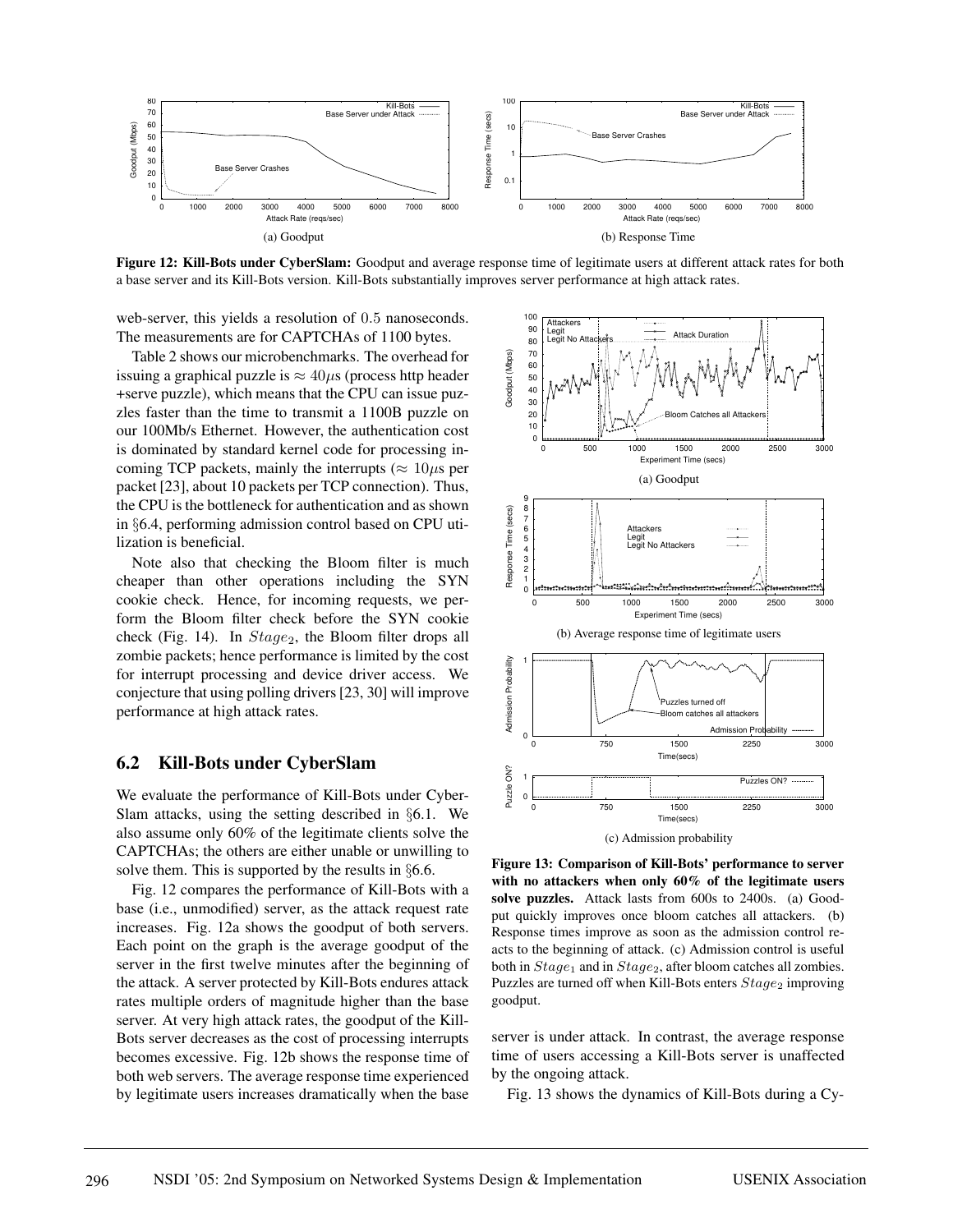

**Figure 12: Kill-Bots under CyberSlam:** Goodput and average response time of legitimate users at different attack rates for both a base server and its Kill-Bots version. Kill-Bots substantially improves server performance at high attack rates.

web-server, this yields a resolution of 0.5 nanoseconds. The measurements are for CAPTCHAs of 1100 bytes.

Table 2 shows our microbenchmarks. The overhead for issuing a graphical puzzle is  $\approx 40 \mu s$  (process http header +serve puzzle), which means that the CPU can issue puzzles faster than the time to transmit a 1100B puzzle on our 100Mb/s Ethernet. However, the authentication cost is dominated by standard kernel code for processing incoming TCP packets, mainly the interrupts ( $\approx 10 \mu s$  per packet [23], about 10 packets per TCP connection). Thus, the CPU is the bottleneck for authentication and as shown in §6.4, performing admission control based on CPU utilization is beneficial.

Note also that checking the Bloom filter is much cheaper than other operations including the SYN cookie check. Hence, for incoming requests, we perform the Bloom filter check before the SYN cookie check (Fig. 14). In  $Stage_2$ , the Bloom filter drops all zombie packets; hence performance is limited by the cost for interrupt processing and device driver access. We conjecture that using polling drivers [23, 30] will improve performance at high attack rates.

#### **6.2 Kill-Bots under CyberSlam**

We evaluate the performance of Kill-Bots under Cyber-Slam attacks, using the setting described in §6.1. We also assume only 60% of the legitimate clients solve the CAPTCHAs; the others are either unable or unwilling to solve them. This is supported by the results in §6.6.

Fig. 12 compares the performance of Kill-Bots with a base (i.e., unmodified) server, as the attack request rate increases. Fig. 12a shows the goodput of both servers. Each point on the graph is the average goodput of the server in the first twelve minutes after the beginning of the attack. A server protected by Kill-Bots endures attack rates multiple orders of magnitude higher than the base server. At very high attack rates, the goodput of the Kill-Bots server decreases as the cost of processing interrupts becomes excessive. Fig. 12b shows the response time of both web servers. The average response time experienced by legitimate users increases dramatically when the base



**Figure 13: Comparison of Kill-Bots' performance to server with no attackers when only 60% of the legitimate users solve puzzles.** Attack lasts from 600s to 2400s. (a) Goodput quickly improves once bloom catches all attackers. (b) Response times improve as soon as the admission control reacts to the beginning of attack. (c) Admission control is useful both in  $Stage_1$  and in  $Stage_2$ , after bloom catches all zombies. Puzzles are turned off when Kill-Bots enters  $Stage_2$  improving goodput.

server is under attack. In contrast, the average response time of users accessing a Kill-Bots server is unaffected by the ongoing attack.

Fig. 13 shows the dynamics of Kill-Bots during a Cy-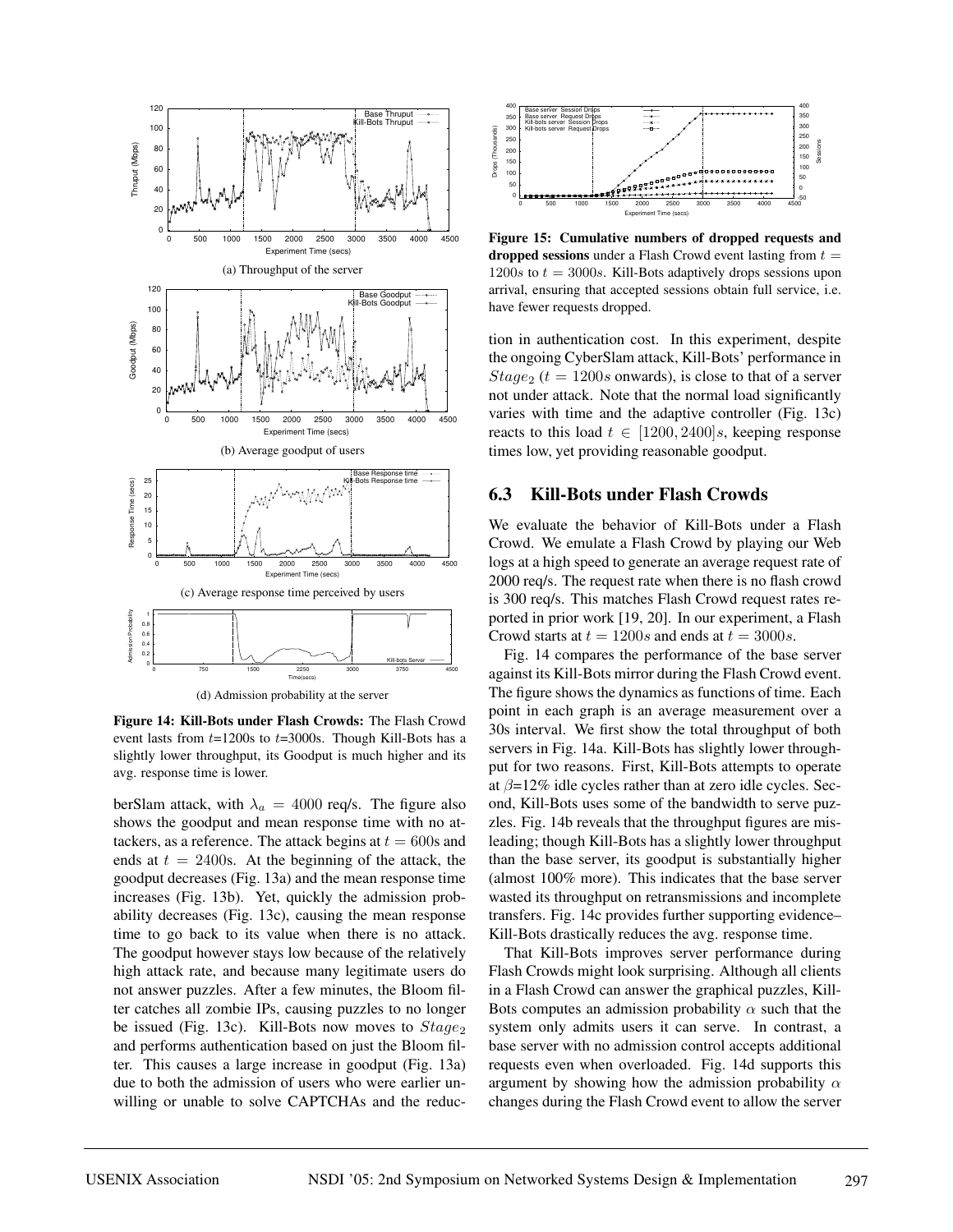

**Figure 14: Kill-Bots under Flash Crowds:** The Flash Crowd event lasts from  $t=1200s$  to  $t=3000s$ . Though Kill-Bots has a slightly lower throughput, its Goodput is much higher and its avg. response time is lower.

berSlam attack, with  $\lambda_a = 4000$  req/s. The figure also shows the goodput and mean response time with no attackers, as a reference. The attack begins at  $t = 600$ s and ends at  $t = 2400$ s. At the beginning of the attack, the goodput decreases (Fig. 13a) and the mean response time increases (Fig. 13b). Yet, quickly the admission probability decreases (Fig. 13c), causing the mean response time to go back to its value when there is no attack. The goodput however stays low because of the relatively high attack rate, and because many legitimate users do not answer puzzles. After a few minutes, the Bloom filter catches all zombie IPs, causing puzzles to no longer be issued (Fig. 13c). Kill-Bots now moves to  $Stage_2$ and performs authentication based on just the Bloom filter. This causes a large increase in goodput (Fig. 13a) due to both the admission of users who were earlier unwilling or unable to solve CAPTCHAs and the reduc-



**Figure 15: Cumulative numbers of dropped requests and dropped sessions** under a Flash Crowd event lasting from  $t =$  $1200s$  to  $t = 3000s$ . Kill-Bots adaptively drops sessions upon arrival, ensuring that accepted sessions obtain full service, i.e. have fewer requests dropped.

tion in authentication cost. In this experiment, despite the ongoing CyberSlam attack, Kill-Bots' performance in  $Stage_2$  ( $t = 1200s$  onwards), is close to that of a server not under attack. Note that the normal load significantly varies with time and the adaptive controller (Fig. 13c) reacts to this load  $t \in [1200, 2400]$ s, keeping response times low, yet providing reasonable goodput.

### **6.3 Kill-Bots under Flash Crowds**

We evaluate the behavior of Kill-Bots under a Flash Crowd. We emulate a Flash Crowd by playing our Web logs at a high speed to generate an average request rate of 2000 req/s. The request rate when there is no flash crowd is 300 req/s. This matches Flash Crowd request rates reported in prior work [19, 20]. In our experiment, a Flash Crowd starts at  $t = 1200s$  and ends at  $t = 3000s$ .

Fig. 14 compares the performance of the base server against its Kill-Bots mirror during the Flash Crowd event. The figure shows the dynamics as functions of time. Each point in each graph is an average measurement over a 30s interval. We first show the total throughput of both servers in Fig. 14a. Kill-Bots has slightly lower throughput for two reasons. First, Kill-Bots attempts to operate at  $\beta$ =12% idle cycles rather than at zero idle cycles. Second, Kill-Bots uses some of the bandwidth to serve puzzles. Fig. 14b reveals that the throughput figures are misleading; though Kill-Bots has a slightly lower throughput than the base server, its goodput is substantially higher (almost 100% more). This indicates that the base server wasted its throughput on retransmissions and incomplete transfers. Fig. 14c provides further supporting evidence– Kill-Bots drastically reduces the avg. response time.

That Kill-Bots improves server performance during Flash Crowds might look surprising. Although all clients in a Flash Crowd can answer the graphical puzzles, Kill-Bots computes an admission probability  $\alpha$  such that the system only admits users it can serve. In contrast, a base server with no admission control accepts additional requests even when overloaded. Fig. 14d supports this argument by showing how the admission probability  $\alpha$ changes during the Flash Crowd event to allow the server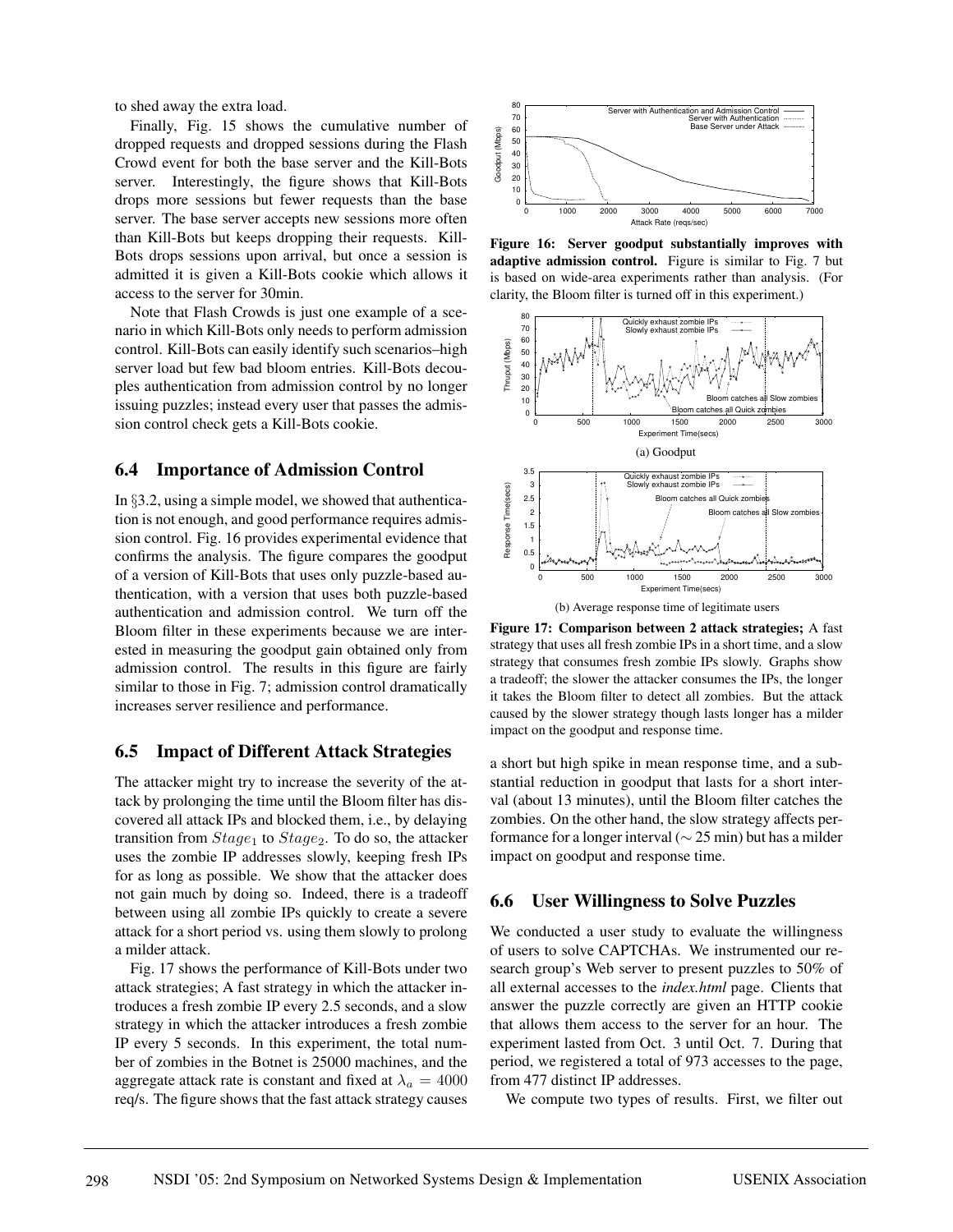to shed away the extra load.

Finally, Fig. 15 shows the cumulative number of dropped requests and dropped sessions during the Flash Crowd event for both the base server and the Kill-Bots server. Interestingly, the figure shows that Kill-Bots drops more sessions but fewer requests than the base server. The base server accepts new sessions more often than Kill-Bots but keeps dropping their requests. Kill-Bots drops sessions upon arrival, but once a session is admitted it is given a Kill-Bots cookie which allows it access to the server for 30min.

Note that Flash Crowds is just one example of a scenario in which Kill-Bots only needs to perform admission control. Kill-Bots can easily identify such scenarios–high server load but few bad bloom entries. Kill-Bots decouples authentication from admission control by no longer issuing puzzles; instead every user that passes the admission control check gets a Kill-Bots cookie.

## **6.4 Importance of Admission Control**

In §3.2, using a simple model, we showed that authentication is not enough, and good performance requires admission control. Fig. 16 provides experimental evidence that confirms the analysis. The figure compares the goodput of a version of Kill-Bots that uses only puzzle-based authentication, with a version that uses both puzzle-based authentication and admission control. We turn off the Bloom filter in these experiments because we are interested in measuring the goodput gain obtained only from admission control. The results in this figure are fairly similar to those in Fig. 7; admission control dramatically increases server resilience and performance.

#### **6.5 Impact of Different Attack Strategies**

The attacker might try to increase the severity of the attack by prolonging the time until the Bloom filter has discovered all attack IPs and blocked them, i.e., by delaying transition from  $Stage_1$  to  $Stage_2$ . To do so, the attacker uses the zombie IP addresses slowly, keeping fresh IPs for as long as possible. We show that the attacker does not gain much by doing so. Indeed, there is a tradeoff between using all zombie IPs quickly to create a severe attack for a short period vs. using them slowly to prolong a milder attack.

Fig. 17 shows the performance of Kill-Bots under two attack strategies; A fast strategy in which the attacker introduces a fresh zombie IP every 2.5 seconds, and a slow strategy in which the attacker introduces a fresh zombie IP every 5 seconds. In this experiment, the total number of zombies in the Botnet is 25000 machines, and the aggregate attack rate is constant and fixed at  $\lambda_a = 4000$ req/s. The figure shows that the fast attack strategy causes



**Figure 16: Server goodput substantially improves with adaptive admission control.** Figure is similar to Fig. 7 but is based on wide-area experiments rather than analysis. (For clarity, the Bloom filter is turned off in this experiment.)



(b) Average response time of legitimate users

**Figure 17: Comparison between 2 attack strategies;** A fast strategy that uses all fresh zombie IPs in a short time, and a slow strategy that consumes fresh zombie IPs slowly. Graphs show a tradeoff; the slower the attacker consumes the IPs, the longer it takes the Bloom filter to detect all zombies. But the attack caused by the slower strategy though lasts longer has a milder impact on the goodput and response time.

a short but high spike in mean response time, and a substantial reduction in goodput that lasts for a short interval (about 13 minutes), until the Bloom filter catches the zombies. On the other hand, the slow strategy affects performance for a longer interval ( $\sim$  25 min) but has a milder impact on goodput and response time.

## **6.6 User Willingness to Solve Puzzles**

We conducted a user study to evaluate the willingness of users to solve CAPTCHAs. We instrumented our research group's Web server to present puzzles to 50% of all external accesses to the *index.html* page. Clients that answer the puzzle correctly are given an HTTP cookie that allows them access to the server for an hour. The experiment lasted from Oct. 3 until Oct. 7. During that period, we registered a total of 973 accesses to the page, from 477 distinct IP addresses.

We compute two types of results. First, we filter out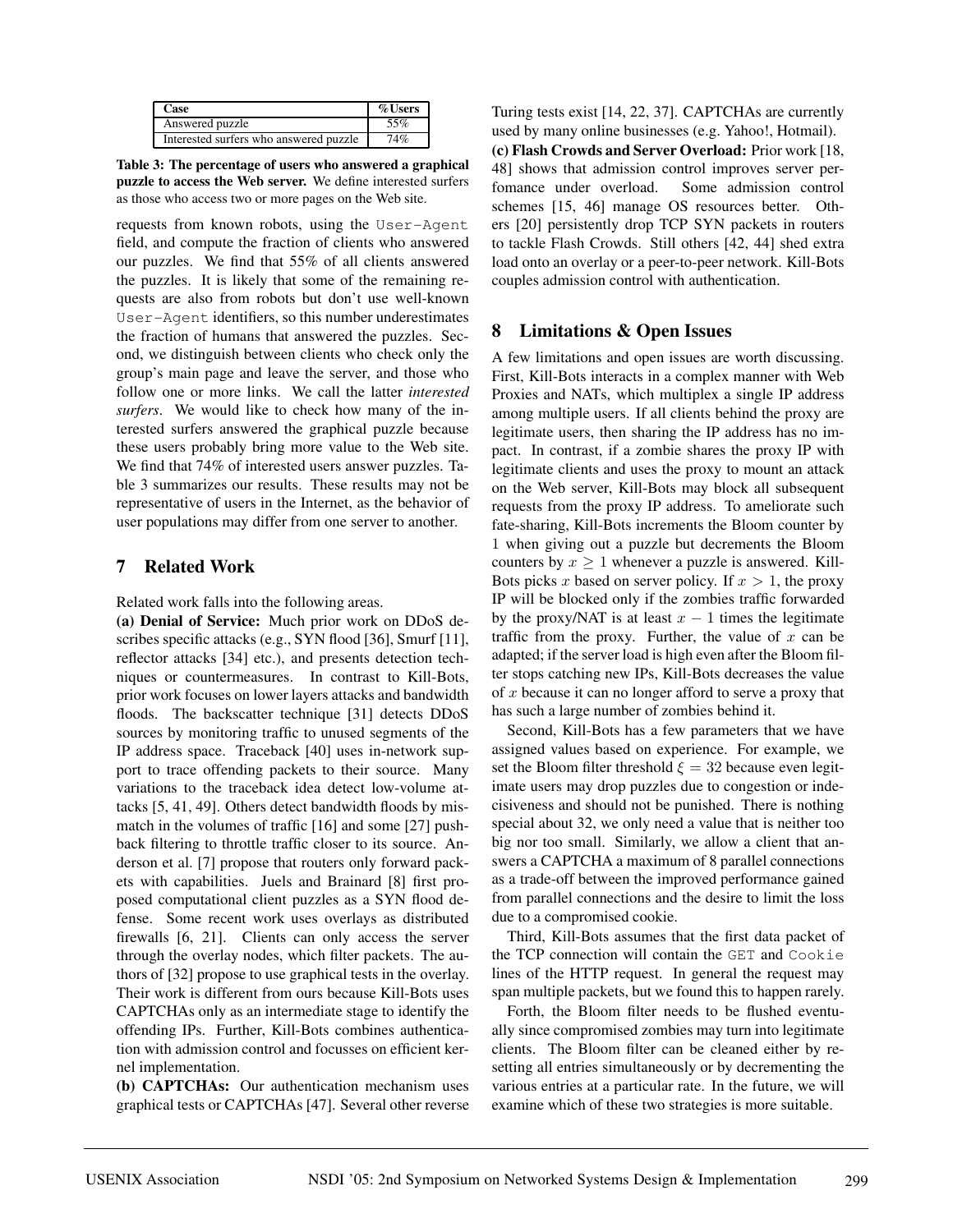| Case                                   | $\%$ Users |
|----------------------------------------|------------|
| Answered puzzle                        | 55%        |
| Interested surfers who answered puzzle | 74%        |

**Table 3: The percentage of users who answered a graphical puzzle to access the Web server.** We define interested surfers as those who access two or more pages on the Web site.

requests from known robots, using the User-Agent field, and compute the fraction of clients who answered our puzzles. We find that 55% of all clients answered the puzzles. It is likely that some of the remaining requests are also from robots but don't use well-known User-Agent identifiers, so this number underestimates the fraction of humans that answered the puzzles. Second, we distinguish between clients who check only the group's main page and leave the server, and those who follow one or more links. We call the latter *interested surfers*. We would like to check how many of the interested surfers answered the graphical puzzle because these users probably bring more value to the Web site. We find that 74% of interested users answer puzzles. Table 3 summarizes our results. These results may not be representative of users in the Internet, as the behavior of user populations may differ from one server to another.

# **7 Related Work**

Related work falls into the following areas.

**(a) Denial of Service:** Much prior work on DDoS describes specific attacks (e.g., SYN flood [36], Smurf [11], reflector attacks [34] etc.), and presents detection techniques or countermeasures. In contrast to Kill-Bots, prior work focuses on lower layers attacks and bandwidth floods. The backscatter technique [31] detects DDoS sources by monitoring traffic to unused segments of the IP address space. Traceback [40] uses in-network support to trace offending packets to their source. Many variations to the traceback idea detect low-volume attacks [5, 41, 49]. Others detect bandwidth floods by mismatch in the volumes of traffic [16] and some [27] pushback filtering to throttle traffic closer to its source. Anderson et al. [7] propose that routers only forward packets with capabilities. Juels and Brainard [8] first proposed computational client puzzles as a SYN flood defense. Some recent work uses overlays as distributed firewalls [6, 21]. Clients can only access the server through the overlay nodes, which filter packets. The authors of [32] propose to use graphical tests in the overlay. Their work is different from ours because Kill-Bots uses CAPTCHAs only as an intermediate stage to identify the offending IPs. Further, Kill-Bots combines authentication with admission control and focusses on efficient kernel implementation.

**(b) CAPTCHAs:** Our authentication mechanism uses graphical tests or CAPTCHAs [47]. Several other reverse

Turing tests exist [14, 22, 37]. CAPTCHAs are currently used by many online businesses (e.g. Yahoo!, Hotmail). **(c) Flash Crowds and Server Overload:** Prior work [18, 48] shows that admission control improves server perfomance under overload. Some admission control schemes [15, 46] manage OS resources better. Others [20] persistently drop TCP SYN packets in routers to tackle Flash Crowds. Still others [42, 44] shed extra load onto an overlay or a peer-to-peer network. Kill-Bots couples admission control with authentication.

# **8 Limitations & Open Issues**

A few limitations and open issues are worth discussing. First, Kill-Bots interacts in a complex manner with Web Proxies and NATs, which multiplex a single IP address among multiple users. If all clients behind the proxy are legitimate users, then sharing the IP address has no impact. In contrast, if a zombie shares the proxy IP with legitimate clients and uses the proxy to mount an attack on the Web server, Kill-Bots may block all subsequent requests from the proxy IP address. To ameliorate such fate-sharing, Kill-Bots increments the Bloom counter by 1 when giving out a puzzle but decrements the Bloom counters by  $x > 1$  whenever a puzzle is answered. Kill-Bots picks x based on server policy. If  $x > 1$ , the proxy IP will be blocked only if the zombies traffic forwarded by the proxy/NAT is at least  $x - 1$  times the legitimate traffic from the proxy. Further, the value of  $x$  can be adapted; if the server load is high even after the Bloom filter stops catching new IPs, Kill-Bots decreases the value of  $x$  because it can no longer afford to serve a proxy that has such a large number of zombies behind it.

Second, Kill-Bots has a few parameters that we have assigned values based on experience. For example, we set the Bloom filter threshold  $\xi = 32$  because even legitimate users may drop puzzles due to congestion or indecisiveness and should not be punished. There is nothing special about 32, we only need a value that is neither too big nor too small. Similarly, we allow a client that answers a CAPTCHA a maximum of 8 parallel connections as a trade-off between the improved performance gained from parallel connections and the desire to limit the loss due to a compromised cookie.

Third, Kill-Bots assumes that the first data packet of the TCP connection will contain the GET and Cookie lines of the HTTP request. In general the request may span multiple packets, but we found this to happen rarely.

Forth, the Bloom filter needs to be flushed eventually since compromised zombies may turn into legitimate clients. The Bloom filter can be cleaned either by resetting all entries simultaneously or by decrementing the various entries at a particular rate. In the future, we will examine which of these two strategies is more suitable.